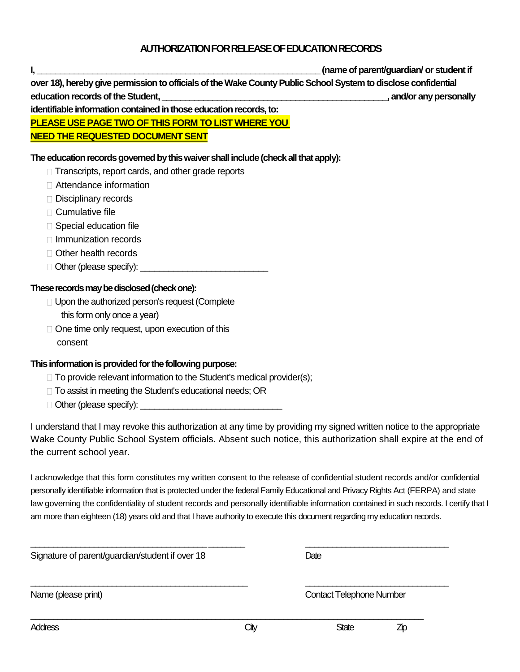## **AUTHORIZATION FOR RELEASE OF EDUCATION RECORDS**

**I, \_\_\_\_\_\_\_\_\_\_\_\_\_\_\_\_\_\_\_\_\_\_\_\_\_\_\_\_\_\_\_\_\_\_\_\_\_\_\_\_\_\_\_\_\_\_\_\_\_\_\_\_\_\_\_\_\_\_\_\_\_ (name of parent/guardian/ or student if over 18), hereby give permission to officials of the Wake County Public School System to disclose confidential education records of the Student, \_\_\_\_\_\_\_\_\_\_\_\_\_\_\_\_\_\_\_\_\_\_\_\_\_\_\_\_\_\_\_\_\_\_\_\_\_\_\_\_\_\_\_\_\_\_\_\_\_, and/or any personally identifiable information contained in those education records, to: PLEASE USE PAGE TWO OF THIS FORM TO LIST WHERE YOU** 

**NEED THE REQUESTED DOCUMENT SENT**

## **The education records governed by this waiver shall include (check all that apply):**

- $\Box$  Transcripts, report cards, and other grade reports
- Attendance information
- Disciplinary records
- □ Cumulative file
- $\Box$  Special education file
- □ Immunization records
- □ Other health records
- $\Box$  Other (please specify):

## **These records may be disclosed (check one):**

- □ Upon the authorized person's request (Complete this form only once a year)
- $\Box$  One time only request, upon execution of this consent

## **This information is provided for the following purpose:**

- $\Box$  To provide relevant information to the Student's medical provider(s);
- □ To assist in meeting the Student's educational needs; OR
- $\Box$  Other (please specify):

I understand that I may revoke this authorization at any time by providing my signed written notice to the appropriate Wake County Public School System officials. Absent such notice, this authorization shall expire at the end of the current school year.

I acknowledge that this form constitutes my written consent to the release of confidential student records and/or confidential personally identifiable information that is protected under the federal Family Educational and Privacy Rights Act (FERPA) and state law governing the confidentiality of student records and personally identifiable information contained in such records. I certify that I am more than eighteen (18) years old and that I have authority to execute this document regarding my education records.

\_\_\_\_\_\_\_\_\_\_\_\_\_\_\_\_\_\_\_\_\_\_\_\_\_\_\_\_\_\_\_\_\_\_\_\_\_\_\_ \_\_\_\_\_\_\_\_ \_\_\_\_\_\_\_\_\_\_\_\_\_\_\_\_\_\_\_\_\_\_\_\_\_\_\_\_\_\_\_\_

\_\_\_\_\_\_\_\_\_\_\_\_\_\_\_\_\_\_\_\_\_\_\_\_\_\_\_\_\_\_\_\_\_\_\_\_\_\_\_\_\_\_\_\_\_\_\_\_ \_\_\_\_\_\_\_\_\_\_\_\_\_\_\_\_\_\_\_\_\_\_\_\_\_\_\_\_\_\_\_\_

\_\_\_\_\_\_\_\_\_\_\_\_\_\_\_\_\_\_\_\_\_\_\_\_\_\_\_\_\_\_\_\_\_\_\_\_\_\_\_\_\_\_\_\_\_\_\_\_\_\_\_\_\_\_\_\_\_\_\_\_\_\_\_\_\_\_\_\_\_\_\_\_\_\_\_\_\_\_\_\_\_\_\_\_\_\_\_

Signature of parent/guardian/student if over 18

Name (please print) Contact Telephone Number